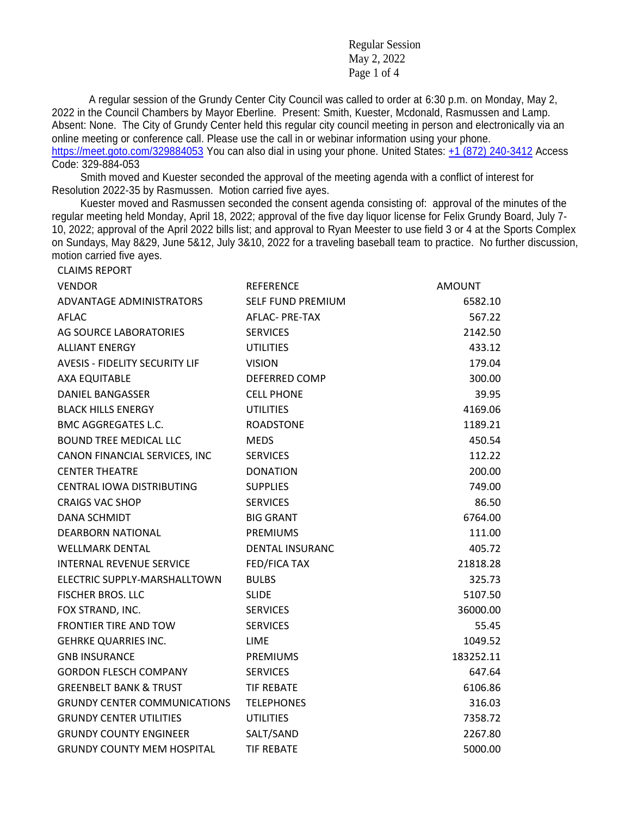Regular Session May 2, 2022 Page 1 of 4

A regular session of the Grundy Center City Council was called to order at 6:30 p.m. on Monday, May 2, 2022 in the Council Chambers by Mayor Eberline. Present: Smith, Kuester, Mcdonald, Rasmussen and Lamp. Absent: None. The City of Grundy Center held this regular city council meeting in person and electronically via an online meeting or conference call. Please use the call in or webinar information using your phone.

<https://meet.goto.com/329884053> You can also dial in using your phone. United States: [+1 \(872\) 240-3412](tel:+18722403412,,329884053) Access Code: 329-884-053

 Smith moved and Kuester seconded the approval of the meeting agenda with a conflict of interest for Resolution 2022-35 by Rasmussen. Motion carried five ayes.

CLAIMS REPORT

 Kuester moved and Rasmussen seconded the consent agenda consisting of: approval of the minutes of the regular meeting held Monday, April 18, 2022; approval of the five day liquor license for Felix Grundy Board, July 7- 10, 2022; approval of the April 2022 bills list; and approval to Ryan Meester to use field 3 or 4 at the Sports Complex on Sundays, May 8&29, June 5&12, July 3&10, 2022 for a traveling baseball team to practice. No further discussion, motion carried five ayes.

| <b>VENDOR</b>                         | <b>REFERENCE</b>         | <b>AMOUNT</b> |
|---------------------------------------|--------------------------|---------------|
| ADVANTAGE ADMINISTRATORS              | <b>SELF FUND PREMIUM</b> | 6582.10       |
| AFLAC                                 | AFLAC- PRE-TAX           | 567.22        |
| AG SOURCE LABORATORIES                | <b>SERVICES</b>          | 2142.50       |
| <b>ALLIANT ENERGY</b>                 | <b>UTILITIES</b>         | 433.12        |
| <b>AVESIS - FIDELITY SECURITY LIF</b> | <b>VISION</b>            | 179.04        |
| <b>AXA EQUITABLE</b>                  | DEFERRED COMP            | 300.00        |
| <b>DANIEL BANGASSER</b>               | <b>CELL PHONE</b>        | 39.95         |
| <b>BLACK HILLS ENERGY</b>             | <b>UTILITIES</b>         | 4169.06       |
| <b>BMC AGGREGATES L.C.</b>            | <b>ROADSTONE</b>         | 1189.21       |
| <b>BOUND TREE MEDICAL LLC</b>         | <b>MEDS</b>              | 450.54        |
| CANON FINANCIAL SERVICES, INC         | <b>SERVICES</b>          | 112.22        |
| <b>CENTER THEATRE</b>                 | <b>DONATION</b>          | 200.00        |
| CENTRAL IOWA DISTRIBUTING             | <b>SUPPLIES</b>          | 749.00        |
| <b>CRAIGS VAC SHOP</b>                | <b>SERVICES</b>          | 86.50         |
| <b>DANA SCHMIDT</b>                   | <b>BIG GRANT</b>         | 6764.00       |
| DEARBORN NATIONAL                     | <b>PREMIUMS</b>          | 111.00        |
| <b>WELLMARK DENTAL</b>                | <b>DENTAL INSURANC</b>   | 405.72        |
| INTERNAL REVENUE SERVICE              | FED/FICA TAX             | 21818.28      |
| ELECTRIC SUPPLY-MARSHALLTOWN          | <b>BULBS</b>             | 325.73        |
| <b>FISCHER BROS. LLC</b>              | <b>SLIDE</b>             | 5107.50       |
| FOX STRAND, INC.                      | <b>SERVICES</b>          | 36000.00      |
| <b>FRONTIER TIRE AND TOW</b>          | <b>SERVICES</b>          | 55.45         |
| <b>GEHRKE QUARRIES INC.</b>           | LIME                     | 1049.52       |
| <b>GNB INSURANCE</b>                  | PREMIUMS                 | 183252.11     |
| <b>GORDON FLESCH COMPANY</b>          | <b>SERVICES</b>          | 647.64        |
| <b>GREENBELT BANK &amp; TRUST</b>     | <b>TIF REBATE</b>        | 6106.86       |
| <b>GRUNDY CENTER COMMUNICATIONS</b>   | <b>TELEPHONES</b>        | 316.03        |
| <b>GRUNDY CENTER UTILITIES</b>        | <b>UTILITIES</b>         | 7358.72       |
| <b>GRUNDY COUNTY ENGINEER</b>         | SALT/SAND                | 2267.80       |
| <b>GRUNDY COUNTY MEM HOSPITAL</b>     | <b>TIF REBATE</b>        | 5000.00       |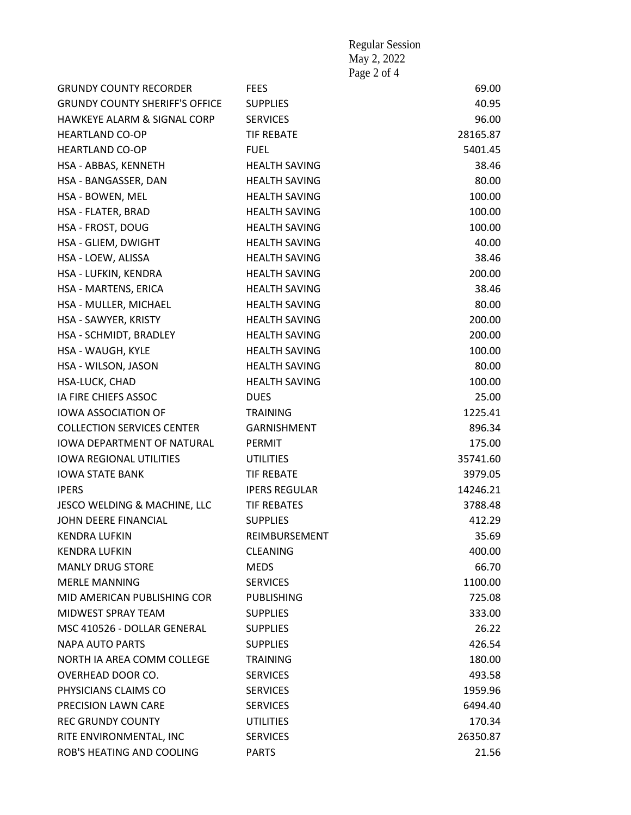|                                       |                      | May 2, 2022 |          |
|---------------------------------------|----------------------|-------------|----------|
|                                       |                      | Page 2 of 4 |          |
| <b>GRUNDY COUNTY RECORDER</b>         | <b>FEES</b>          |             | 69.00    |
| <b>GRUNDY COUNTY SHERIFF'S OFFICE</b> | <b>SUPPLIES</b>      |             | 40.95    |
| HAWKEYE ALARM & SIGNAL CORP           | <b>SERVICES</b>      |             | 96.00    |
| <b>HEARTLAND CO-OP</b>                | <b>TIF REBATE</b>    |             | 28165.87 |
| <b>HEARTLAND CO-OP</b>                | <b>FUEL</b>          |             | 5401.45  |
| HSA - ABBAS, KENNETH                  | <b>HEALTH SAVING</b> |             | 38.46    |
| HSA - BANGASSER, DAN                  | <b>HEALTH SAVING</b> |             | 80.00    |
| HSA - BOWEN, MEL                      | <b>HEALTH SAVING</b> |             | 100.00   |
| HSA - FLATER, BRAD                    | <b>HEALTH SAVING</b> |             | 100.00   |
| HSA - FROST, DOUG                     | <b>HEALTH SAVING</b> |             | 100.00   |
| HSA - GLIEM, DWIGHT                   | <b>HEALTH SAVING</b> |             | 40.00    |
| HSA - LOEW, ALISSA                    | <b>HEALTH SAVING</b> |             | 38.46    |
| HSA - LUFKIN, KENDRA                  | <b>HEALTH SAVING</b> |             | 200.00   |
| HSA - MARTENS, ERICA                  | <b>HEALTH SAVING</b> |             | 38.46    |
| HSA - MULLER, MICHAEL                 | <b>HEALTH SAVING</b> |             | 80.00    |
| HSA - SAWYER, KRISTY                  | <b>HEALTH SAVING</b> |             | 200.00   |
| HSA - SCHMIDT, BRADLEY                | <b>HEALTH SAVING</b> |             | 200.00   |
| HSA - WAUGH, KYLE                     | <b>HEALTH SAVING</b> |             | 100.00   |
| HSA - WILSON, JASON                   | <b>HEALTH SAVING</b> |             | 80.00    |
| HSA-LUCK, CHAD                        | <b>HEALTH SAVING</b> |             | 100.00   |
| IA FIRE CHIEFS ASSOC                  | <b>DUES</b>          |             | 25.00    |
| <b>IOWA ASSOCIATION OF</b>            | <b>TRAINING</b>      |             | 1225.41  |
| <b>COLLECTION SERVICES CENTER</b>     | <b>GARNISHMENT</b>   |             | 896.34   |
| <b>IOWA DEPARTMENT OF NATURAL</b>     | PERMIT               |             | 175.00   |
| <b>IOWA REGIONAL UTILITIES</b>        | <b>UTILITIES</b>     |             | 35741.60 |
| <b>IOWA STATE BANK</b>                | <b>TIF REBATE</b>    |             | 3979.05  |
| <b>IPERS</b>                          | <b>IPERS REGULAR</b> |             | 14246.21 |
| JESCO WELDING & MACHINE, LLC          | <b>TIF REBATES</b>   |             | 3788.48  |
| JOHN DEERE FINANCIAL                  | <b>SUPPLIES</b>      |             | 412.29   |
| <b>KENDRA LUFKIN</b>                  | REIMBURSEMENT        |             | 35.69    |
| <b>KENDRA LUFKIN</b>                  | <b>CLEANING</b>      |             | 400.00   |
| <b>MANLY DRUG STORE</b>               | <b>MEDS</b>          |             | 66.70    |
| <b>MERLE MANNING</b>                  | <b>SERVICES</b>      |             | 1100.00  |
| MID AMERICAN PUBLISHING COR           | <b>PUBLISHING</b>    |             | 725.08   |
| MIDWEST SPRAY TEAM                    | <b>SUPPLIES</b>      |             | 333.00   |
| MSC 410526 - DOLLAR GENERAL           | <b>SUPPLIES</b>      |             | 26.22    |
| NAPA AUTO PARTS                       | <b>SUPPLIES</b>      |             | 426.54   |
| NORTH IA AREA COMM COLLEGE            | <b>TRAINING</b>      |             | 180.00   |
| OVERHEAD DOOR CO.                     | <b>SERVICES</b>      |             | 493.58   |
| PHYSICIANS CLAIMS CO                  | <b>SERVICES</b>      |             | 1959.96  |
| PRECISION LAWN CARE                   | <b>SERVICES</b>      |             | 6494.40  |
| <b>REC GRUNDY COUNTY</b>              | <b>UTILITIES</b>     |             | 170.34   |
| RITE ENVIRONMENTAL, INC               | <b>SERVICES</b>      |             | 26350.87 |
| ROB'S HEATING AND COOLING             | <b>PARTS</b>         |             | 21.56    |

Regular Session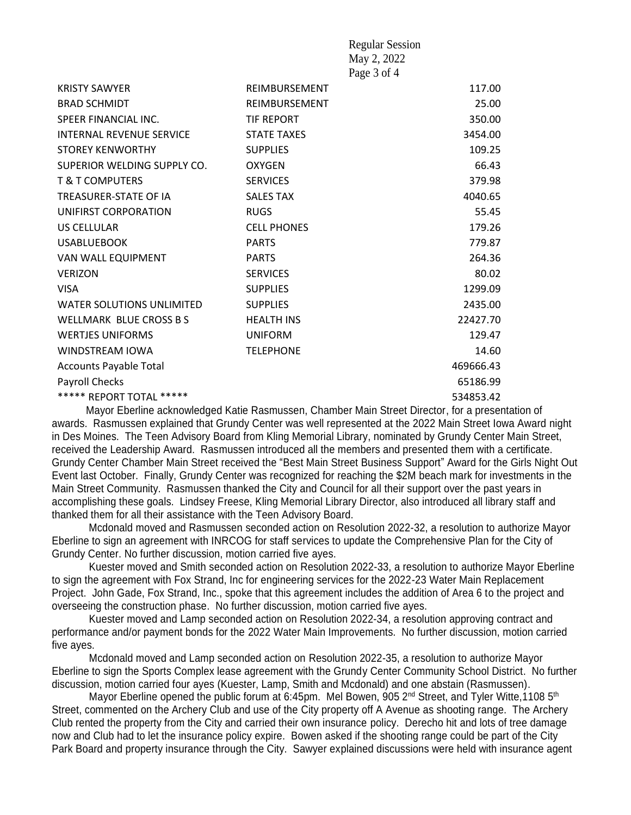|                                                                          |                    | <b>Regular Session</b>               |           |
|--------------------------------------------------------------------------|--------------------|--------------------------------------|-----------|
|                                                                          |                    | May 2, 2022                          |           |
|                                                                          |                    | Page 3 of 4                          |           |
| <b>KRISTY SAWYER</b>                                                     | REIMBURSEMENT      |                                      | 117.00    |
| <b>BRAD SCHMIDT</b>                                                      | REIMBURSEMENT      |                                      | 25.00     |
| SPEER FINANCIAL INC.                                                     | <b>TIF REPORT</b>  |                                      | 350.00    |
| <b>INTERNAL REVENUE SERVICE</b>                                          | <b>STATE TAXES</b> |                                      | 3454.00   |
| <b>STOREY KENWORTHY</b>                                                  | <b>SUPPLIES</b>    |                                      | 109.25    |
| SUPERIOR WELDING SUPPLY CO.                                              | <b>OXYGEN</b>      |                                      | 66.43     |
| <b>T &amp; T COMPUTERS</b>                                               | <b>SERVICES</b>    |                                      | 379.98    |
| <b>TREASURER-STATE OF IA</b>                                             | <b>SALES TAX</b>   |                                      | 4040.65   |
| UNIFIRST CORPORATION                                                     | <b>RUGS</b>        |                                      | 55.45     |
| US CELLULAR                                                              | <b>CELL PHONES</b> |                                      | 179.26    |
| <b>USABLUEBOOK</b>                                                       | <b>PARTS</b>       |                                      | 779.87    |
| VAN WALL EQUIPMENT                                                       | <b>PARTS</b>       |                                      | 264.36    |
| <b>VERIZON</b>                                                           | <b>SERVICES</b>    |                                      | 80.02     |
| <b>VISA</b>                                                              | <b>SUPPLIES</b>    |                                      | 1299.09   |
| <b>WATER SOLUTIONS UNLIMITED</b>                                         | <b>SUPPLIES</b>    |                                      | 2435.00   |
| <b>WELLMARK BLUE CROSS BS</b>                                            | <b>HEALTH INS</b>  |                                      | 22427.70  |
| <b>WERTJES UNIFORMS</b>                                                  | <b>UNIFORM</b>     |                                      | 129.47    |
| <b>WINDSTREAM IOWA</b>                                                   | <b>TELEPHONE</b>   |                                      | 14.60     |
| <b>Accounts Payable Total</b>                                            |                    |                                      | 469666.43 |
| Payroll Checks                                                           |                    |                                      | 65186.99  |
| ***** REPORT TOTAL *****                                                 |                    |                                      | 534853.42 |
| the character of a state of 12 and a Discovery of<br>Marcello Elecciones |                    | Objective Mate Object Direction from |           |

 Mayor Eberline acknowledged Katie Rasmussen, Chamber Main Street Director, for a presentation of awards. Rasmussen explained that Grundy Center was well represented at the 2022 Main Street Iowa Award night in Des Moines. The Teen Advisory Board from Kling Memorial Library, nominated by Grundy Center Main Street, received the Leadership Award. Rasmussen introduced all the members and presented them with a certificate. Grundy Center Chamber Main Street received the "Best Main Street Business Support" Award for the Girls Night Out Event last October. Finally, Grundy Center was recognized for reaching the \$2M beach mark for investments in the Main Street Community. Rasmussen thanked the City and Council for all their support over the past years in accomplishing these goals. Lindsey Freese, Kling Memorial Library Director, also introduced all library staff and thanked them for all their assistance with the Teen Advisory Board.

 Mcdonald moved and Rasmussen seconded action on Resolution 2022-32, a resolution to authorize Mayor Eberline to sign an agreement with INRCOG for staff services to update the Comprehensive Plan for the City of Grundy Center. No further discussion, motion carried five ayes.

Kuester moved and Smith seconded action on Resolution 2022-33, a resolution to authorize Mayor Eberline to sign the agreement with Fox Strand, Inc for engineering services for the 2022-23 Water Main Replacement Project. John Gade, Fox Strand, Inc., spoke that this agreement includes the addition of Area 6 to the project and overseeing the construction phase. No further discussion, motion carried five ayes.

Kuester moved and Lamp seconded action on Resolution 2022-34, a resolution approving contract and performance and/or payment bonds for the 2022 Water Main Improvements. No further discussion, motion carried five ayes.

Mcdonald moved and Lamp seconded action on Resolution 2022-35, a resolution to authorize Mayor Eberline to sign the Sports Complex lease agreement with the Grundy Center Community School District. No further discussion, motion carried four ayes (Kuester, Lamp, Smith and Mcdonald) and one abstain (Rasmussen).

Mayor Eberline opened the public forum at 6:45pm. Mel Bowen, 905 2<sup>nd</sup> Street, and Tyler Witte,1108 5<sup>th</sup> Street, commented on the Archery Club and use of the City property off A Avenue as shooting range. The Archery Club rented the property from the City and carried their own insurance policy. Derecho hit and lots of tree damage now and Club had to let the insurance policy expire. Bowen asked if the shooting range could be part of the City Park Board and property insurance through the City. Sawyer explained discussions were held with insurance agent